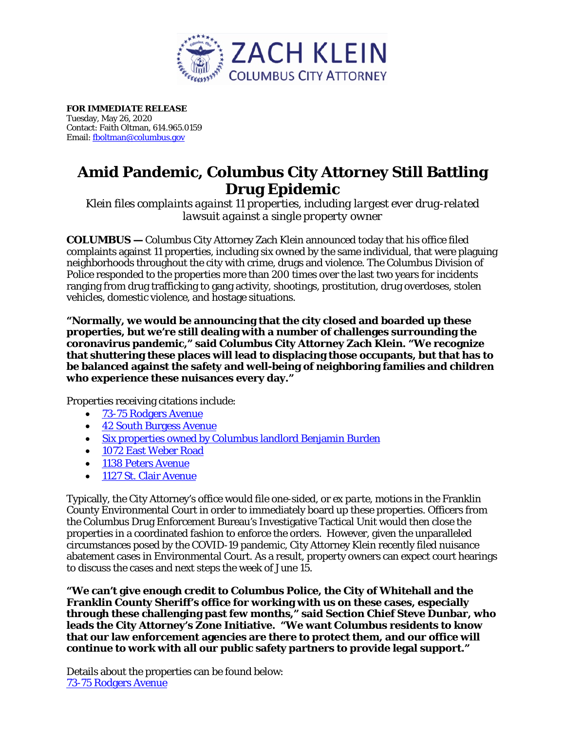

**FOR IMMEDIATE RELEASE**  Tuesday, May 26, 2020 Contact: Faith Oltman, 614.965.0159 Email[: fboltman@columbus.gov](mailto:fboltman@columbus.gov)

# **Amid Pandemic, Columbus City Attorney Still Battling Drug Epidemic**

*Klein files complaints against 11 properties, including largest ever drug-related lawsuit against a single property owner*

**COLUMBUS —** Columbus City Attorney Zach Klein announced today that his office filed complaints against 11 properties, including six owned by the same individual, that were plaguing neighborhoods throughout the city with crime, drugs and violence. The Columbus Division of Police responded to the properties more than 200 times over the last two years for incidents ranging from drug trafficking to gang activity, shootings, prostitution, drug overdoses, stolen vehicles, domestic violence, and hostage situations.

**"Normally, we would be announcing that the city closed and boarded up these properties, but we're still dealing with a number of challenges surrounding the coronavirus pandemic," said Columbus City Attorney Zach Klein. "We recognize that shuttering these places will lead to displacing those occupants, but that has to be balanced against the safety and well-being of neighboring families and children who experience these nuisances every day."**

Properties receiving citations include:

- [73-75 Rodgers Avenue](https://city-attorney.columbus.gov/pdf/press/73+75Rodgers_complaint.pdf)
- [42 South Burgess Avenue](https://city-attorney.columbus.gov/pdf/press/42Burgess_complaint.pdf)
- [Six properties owned by Columbus landlord Benjamin Burden](https://city-attorney.columbus.gov/pdf/press/Burden_complaint.pdf)
- [1072 East Weber Road](https://city-attorney.columbus.gov/pdf/press/1072EWeber_complaint.pdf)
- [1138 Peters Avenue](https://city-attorney.columbus.gov/pdf/press/1138Peters+1127StClair_complaint.pdf)
- [1127 St. Clair Avenue](https://city-attorney.columbus.gov/pdf/press/1138Peters+1127StClair_complaint.pdf)

Typically, the City Attorney's office would file one-sided, or *ex parte,* motions in the Franklin County Environmental Court in order to immediately board up these properties. Officers from the Columbus Drug Enforcement Bureau's Investigative Tactical Unit would then close the properties in a coordinated fashion to enforce the orders. However, given the unparalleled circumstances posed by the COVID-19 pandemic, City Attorney Klein recently filed nuisance abatement cases in Environmental Court*.* As a result, property owners can expect court hearings to discuss the cases and next steps the week of June 15.

**"We can't give enough credit to Columbus Police, the City of Whitehall and the Franklin County Sheriff's office for working with us on these cases, especially through these challenging past few months," said Section Chief Steve Dunbar, who leads the City Attorney's Zone Initiative. "We want Columbus residents to know that our law enforcement agencies are there to protect them, and our office will continue to work with all our public safety partners to provide legal support."**

Details about the properties can be found below: [73-75 Rodgers Avenue](https://www.google.com/maps/place/73+Rodgers+Ave,+Columbus,+OH+43222/@39.960508,-83.0303027,17z/data=!3m1!4b1!4m5!3m4!1s0x88388f0c3348546b:0x81d9b13fcce18925!8m2!3d39.960508!4d-83.028114)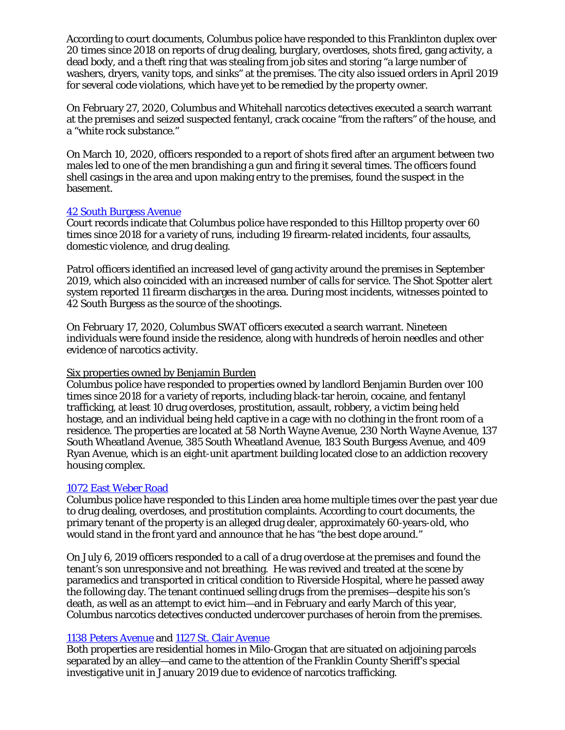According to court documents, Columbus police have responded to this Franklinton duplex over 20 times since 2018 on reports of drug dealing, burglary, overdoses, shots fired, gang activity, a dead body, and a theft ring that was stealing from job sites and storing "a large number of washers, dryers, vanity tops, and sinks" at the premises. The city also issued orders in April 2019 for several code violations, which have yet to be remedied by the property owner.

On February 27, 2020, Columbus and Whitehall narcotics detectives executed a search warrant at the premises and seized suspected fentanyl, crack cocaine "from the rafters" of the house, and a "white rock substance."

On March 10, 2020, officers responded to a report of shots fired after an argument between two males led to one of the men brandishing a gun and firing it several times. The officers found shell casings in the area and upon making entry to the premises, found the suspect in the basement.

## [42 South Burgess Avenue](https://www.google.com/maps/place/42+S+Burgess+Ave,+Columbus,+OH+43204/data=!4m2!3m1!1s0x88388fe6054ca705:0x75f5fb92bec517e2?sa=X&ved=2ahUKEwjX_fzYzN7oAhXJU80KHZ3UD6UQ8gEwAHoECAwQAQ)

Court records indicate that Columbus police have responded to this Hilltop property over 60 times since 2018 for a variety of runs, including 19 firearm-related incidents, four assaults, domestic violence, and drug dealing.

Patrol officers identified an increased level of gang activity around the premises in September 2019, which also coincided with an increased number of calls for service. The Shot Spotter alert system reported 11 firearm discharges in the area. During most incidents, witnesses pointed to 42 South Burgess as the source of the shootings.

On February 17, 2020, Columbus SWAT officers executed a search warrant. Nineteen individuals were found inside the residence, along with hundreds of heroin needles and other evidence of narcotics activity.

## Six properties owned by Benjamin Burden

Columbus police have responded to properties owned by landlord Benjamin Burden over 100 times since 2018 for a variety of reports, including black-tar heroin, cocaine, and fentanyl trafficking, at least 10 drug overdoses, prostitution, assault, robbery, a victim being held hostage, and an individual being held captive in a cage with no clothing in the front room of a residence. The properties are located at 58 North Wayne Avenue, 230 North Wayne Avenue, 137 South Wheatland Avenue, 385 South Wheatland Avenue, 183 South Burgess Avenue, and 409 Ryan Avenue, which is an eight-unit apartment building located close to an addiction recovery housing complex.

## [1072 East Weber Road](https://www.google.com/maps/place/1072+E+Weber+Rd,+Columbus,+OH+43224/@40.0235794,-82.9831964,3a,75y,358.17h,90t/data=!3m6!1e1!3m4!1s8h_5281kLssWGzkdXH61hw!2e0!7i16384!8i8192!4m5!3m4!1s0x88388bfac7937a65:0xc255259f5c05d0f5!8m2!3d40.0237449!4d-82.9831889)

Columbus police have responded to this Linden area home multiple times over the past year due to drug dealing, overdoses, and prostitution complaints. According to court documents, the primary tenant of the property is an alleged drug dealer, approximately 60-years-old, who would stand in the front yard and announce that he has "the best dope around."

On July 6, 2019 officers responded to a call of a drug overdose at the premises and found the tenant's son unresponsive and not breathing. He was revived and treated at the scene by paramedics and transported in critical condition to Riverside Hospital, where he passed away the following day. The tenant continued selling drugs from the premises—despite his son's death, as well as an attempt to evict him—and in February and early March of this year, Columbus narcotics detectives conducted undercover purchases of heroin from the premises.

## [1138 Peters Avenue](https://www.google.com/maps/place/1138+Peters+Ave,+Columbus,+OH+43201/@39.9882754,-82.9806846,3a,75y,90.73h,90t/data=!3m6!1e1!3m4!1sMfDVYaDr77EflHjFG5C4BQ!2e0!7i16384!8i8192!4m5!3m4!1s0x8838893a3a7314c3:0xa3352e0c6859c95a!8m2!3d39.9883109!4d-82.9804175) and [1127 St. Clair Avenue](https://www.google.com/maps/place/1127+St+Clair+Ave,+Columbus,+OH+43201/@39.9882529,-82.9795589,3a,75y,273.35h,90t/data=!3m6!1e1!3m4!1s3nWlIw3bPaqo_IShqrHu5Q!2e0!7i16384!8i8192!4m5!3m4!1s0x8838893a333604dd:0x917be4e9546081ed!8m2!3d39.9882608!4d-82.9797561)

Both properties are residential homes in Milo-Grogan that are situated on adjoining parcels separated by an alley—and came to the attention of the Franklin County Sheriff's special investigative unit in January 2019 due to evidence of narcotics trafficking.